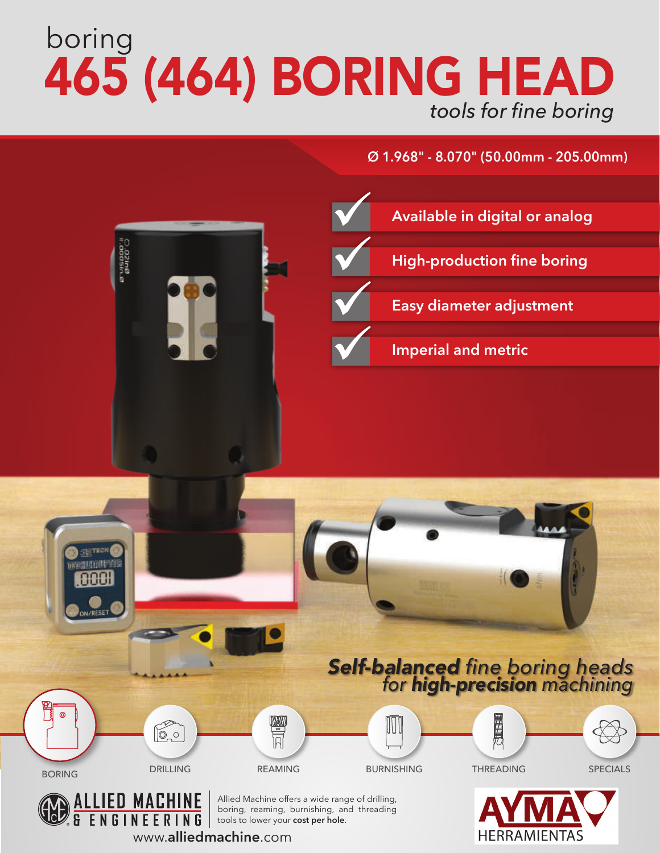# boring 465 (464) BORING HEAD *tools for fine boring*

## **Ø 1.968" - 8.070" (50.00mm - 205.00mm)**



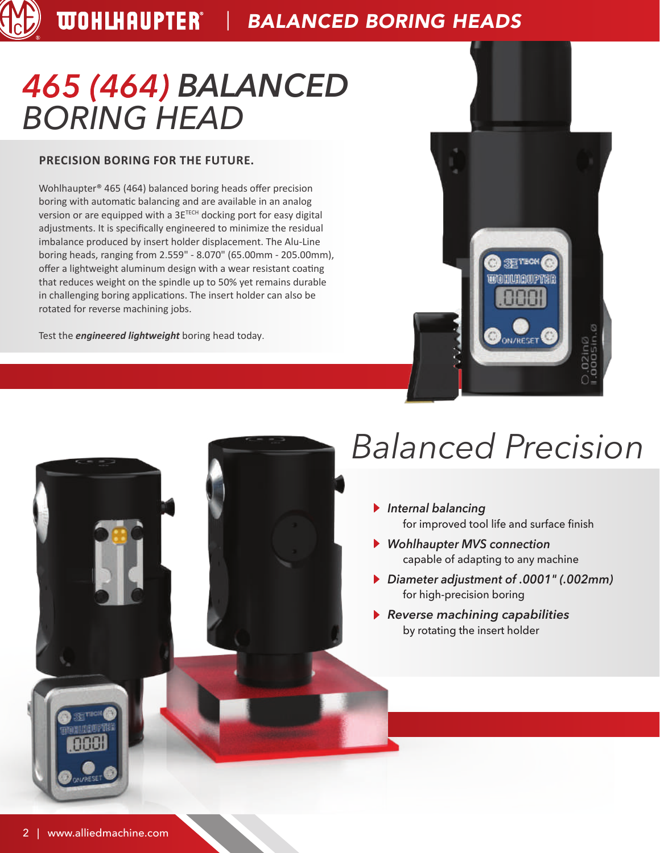## *465 (464) BALANCED BORING HEAD*

### **PRECISION BORING FOR THE FUTURE.**

Wohlhaupter® 465 (464) balanced boring heads offer precision boring with automatic balancing and are available in an analog version or are equipped with a 3E<sup>TECH</sup> docking port for easy digital adjustments. It is specifically engineered to minimize the residual imbalance produced by insert holder displacement. The Alu-Line boring heads, ranging from 2.559" - 8.070" (65.00mm - 205.00mm), offer a lightweight aluminum design with a wear resistant coating that reduces weight on the spindle up to 50% yet remains durable in challenging boring applications. The insert holder can also be rotated for reverse machining jobs.

Test the *engineered lightweight* boring head today.



## *Balanced Precision*

- *Internal balancing* for improved tool life and surface finish
- *Wohlhaupter MVS connection* capable of adapting to any machine
- *Diameter adjustment of .0001" (.002mm)* for high-precision boring
- *Reverse machining capabilities* by rotating the insert holder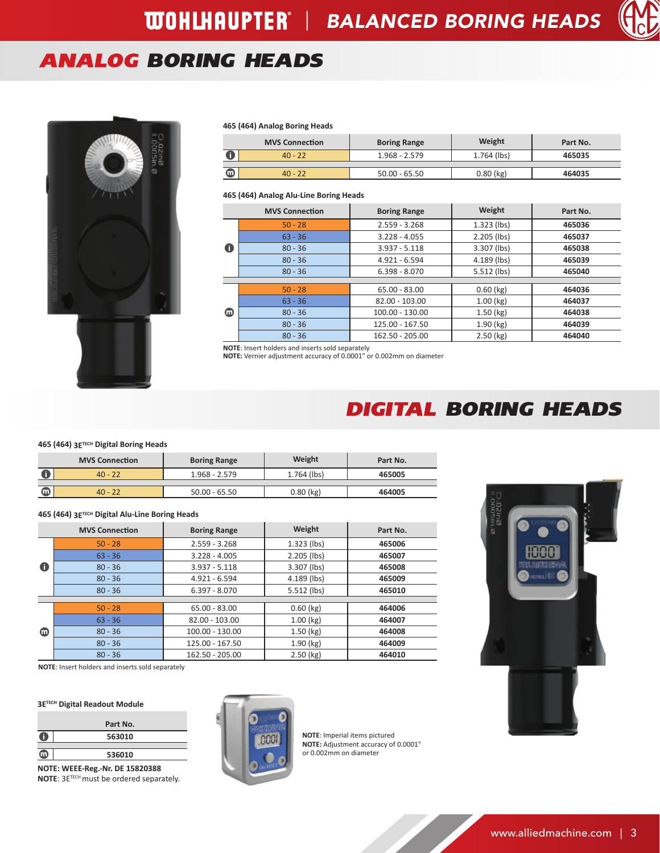## *ANALOG BORING HEADS*



#### **465 (464) Analog Boring Heads**

|   | <b>MVS Connection</b> | <b>Boring Range</b> | Weight      | Part No. |
|---|-----------------------|---------------------|-------------|----------|
|   | $40 - 22$             | $1.968 - 2.579$     | 1.764 (lbs) | 465035   |
|   |                       |                     |             |          |
| ൘ | $40 - 22$             | $50.00 - 65.50$     | $0.80$ (kg) | 464035   |

#### **465 (464) Analog Alu-Line Boring Heads**

|             | <b>MVS Connection</b> | <b>Boring Range</b> | Weight        | Part No. |
|-------------|-----------------------|---------------------|---------------|----------|
|             | $50 - 28$             | $2.559 - 3.268$     | $1.323$ (lbs) | 465036   |
|             | $63 - 36$             | $3.228 - 4.055$     | $2.205$ (lbs) | 465037   |
| $\mathbf 0$ | $80 - 36$             | $3.937 - 5.118$     | 3.307 (lbs)   | 465038   |
|             | $80 - 36$             | 4.921 - 6.594       | 4.189 (lbs)   | 465039   |
|             | $80 - 36$             | $6.398 - 8.070$     | $5.512$ (lbs) | 465040   |
|             |                       |                     |               |          |
|             | $50 - 28$             | $65.00 - 83.00$     | $0.60$ (kg)   | 464036   |
|             | $63 - 36$             | $82.00 - 103.00$    | $1.00$ (kg)   | 464037   |
| ⊕           | $80 - 36$             | 100.00 - 130.00     | 1.50(kg)      | 464038   |
|             | $80 - 36$             | 125.00 - 167.50     | $1.90$ (kg)   | 464039   |
|             | $80 - 36$             | 162.50 - 205.00     | 2.50 (kg)     | 464040   |

**NOTE**: Insert holders and inserts sold separately **NOTE:** Vernier adjustment accuracy of 0.0001" or 0.002mm on diameter

## *DIGITAL BORING HEADS*

#### **465 (464) 3ETECH Digital Boring Heads**

|   | <b>MVS Connection</b> | <b>Boring Range</b> | Weight        | Part No. |
|---|-----------------------|---------------------|---------------|----------|
|   | $40 - 22$             | $1.968 - 2.579$     | $1.764$ (lbs) | 465005   |
|   |                       |                     |               |          |
| Œ | $40 - 22$             | $50.00 - 65.50$     | $0.80$ (kg)   | 464005   |

#### **465 (464) 3ETECH Digital Alu-Line Boring Heads**

|   | <b>MVS Connection</b> | <b>Boring Range</b> | Weight        | Part No. |
|---|-----------------------|---------------------|---------------|----------|
|   | $50 - 28$             | $2.559 - 3.268$     | $1.323$ (lbs) | 465006   |
|   | $63 - 36$             | $3.228 - 4.005$     | $2.205$ (lbs) | 465007   |
| 0 | $80 - 36$             | $3.937 - 5.118$     | 3.307 (lbs)   | 465008   |
|   | $80 - 36$             | 4.921 - 6.594       | 4.189 (lbs)   | 465009   |
|   | $80 - 36$             | $6.397 - 8.070$     | 5.512 (lbs)   | 465010   |
|   |                       |                     |               |          |
|   | $50 - 28$             | $65.00 - 83.00$     | $0.60$ (kg)   | 464006   |
|   | $63 - 36$             | $82.00 - 103.00$    | $1.00$ (kg)   | 464007   |
| ▥ | $80 - 36$             | 100.00 - 130.00     | $1.50$ (kg)   | 464008   |
|   | $80 - 36$             | 125.00 - 167.50     | $1.90$ (kg)   | 464009   |
|   | $80 - 36$             | 162.50 - 205.00     | $2.50$ (kg)   | 464010   |



**NOTE**: Insert holders and inserts sold separately

#### **3ETECH Digital Readout Module**

|   | Part No. |
|---|----------|
| с | 563010   |
|   |          |
|   | 536010   |

**NOTE: WEEE-Reg.-Nr. DE 15820388 NOTE**: 3ETECH must be ordered separately.



**NOTE**: Imperial items pictured **NOTE:** Adjustment accuracy of 0.0001" or 0.002mm on diameter